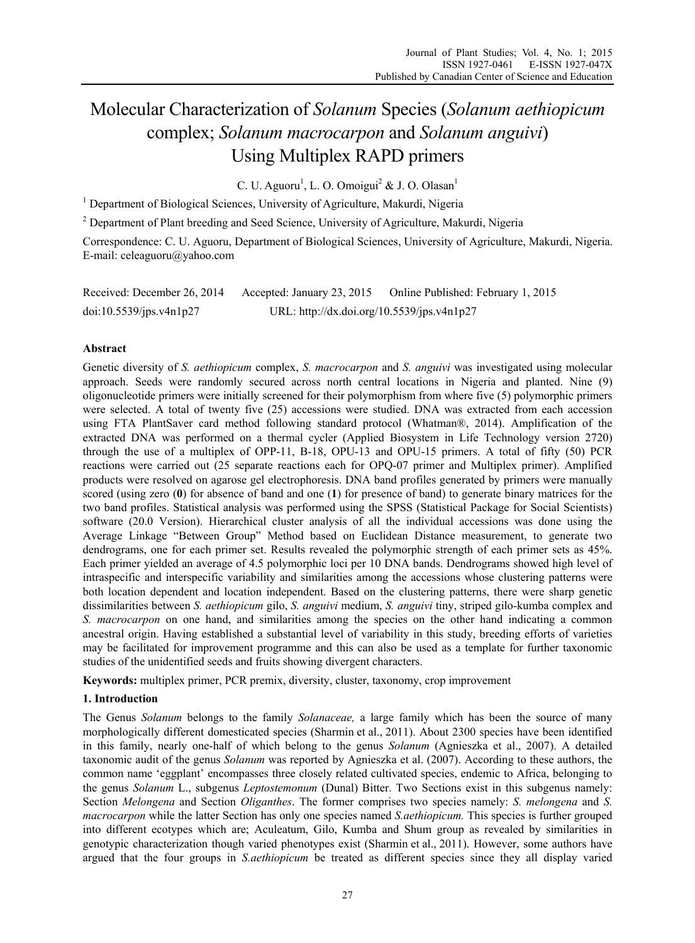# Molecular Characterization of *Solanum* Species (*Solanum aethiopicum* complex; *Solanum macrocarpon* and *Solanum anguivi*) Using Multiplex RAPD primers

C. U. Aguoru<sup>1</sup>, L. O. Omoigui<sup>2</sup> & J. O. Olasan<sup>1</sup>

<sup>1</sup> Department of Biological Sciences, University of Agriculture, Makurdi, Nigeria

<sup>2</sup> Department of Plant breeding and Seed Science, University of Agriculture, Makurdi, Nigeria

Correspondence: C. U. Aguoru, Department of Biological Sciences, University of Agriculture, Makurdi, Nigeria. E-mail: celeaguoru@yahoo.com

| Received: December 26, 2014 | Accepted: January 23, 2015                 | Online Published: February 1, 2015 |
|-----------------------------|--------------------------------------------|------------------------------------|
| doi:10.5539/ips.v4n1p27     | URL: http://dx.doi.org/10.5539/jps.v4n1p27 |                                    |

## **Abstract**

Genetic diversity of *S. aethiopicum* complex, *S. macrocarpon* and *S. anguivi* was investigated using molecular approach. Seeds were randomly secured across north central locations in Nigeria and planted. Nine (9) oligonucleotide primers were initially screened for their polymorphism from where five (5) polymorphic primers were selected. A total of twenty five (25) accessions were studied. DNA was extracted from each accession using FTA PlantSaver card method following standard protocol (Whatman®, 2014). Amplification of the extracted DNA was performed on a thermal cycler (Applied Biosystem in Life Technology version 2720) through the use of a multiplex of OPP-11, B-18, OPU-13 and OPU-15 primers. A total of fifty (50) PCR reactions were carried out (25 separate reactions each for OPQ-07 primer and Multiplex primer). Amplified products were resolved on agarose gel electrophoresis. DNA band profiles generated by primers were manually scored (using zero (**0**) for absence of band and one (**1**) for presence of band) to generate binary matrices for the two band profiles. Statistical analysis was performed using the SPSS (Statistical Package for Social Scientists) software (20.0 Version). Hierarchical cluster analysis of all the individual accessions was done using the Average Linkage "Between Group" Method based on Euclidean Distance measurement, to generate two dendrograms, one for each primer set. Results revealed the polymorphic strength of each primer sets as 45%. Each primer yielded an average of 4.5 polymorphic loci per 10 DNA bands. Dendrograms showed high level of intraspecific and interspecific variability and similarities among the accessions whose clustering patterns were both location dependent and location independent. Based on the clustering patterns, there were sharp genetic dissimilarities between *S. aethiopicum* gilo, *S. anguivi* medium, *S. anguivi* tiny, striped gilo-kumba complex and *S. macrocarpon* on one hand, and similarities among the species on the other hand indicating a common ancestral origin. Having established a substantial level of variability in this study, breeding efforts of varieties may be facilitated for improvement programme and this can also be used as a template for further taxonomic studies of the unidentified seeds and fruits showing divergent characters.

**Keywords:** multiplex primer, PCR premix, diversity, cluster, taxonomy, crop improvement

## **1. Introduction**

The Genus *Solanum* belongs to the family *Solanaceae,* a large family which has been the source of many morphologically different domesticated species (Sharmin et al., 2011). About 2300 species have been identified in this family, nearly one-half of which belong to the genus *Solanum* (Agnieszka et al., 2007). A detailed taxonomic audit of the genus *Solanum* was reported by Agnieszka et al. (2007). According to these authors, the common name 'eggplant' encompasses three closely related cultivated species, endemic to Africa, belonging to the genus *Solanum* L., subgenus *Leptostemonum* (Dunal) Bitter. Two Sections exist in this subgenus namely: Section *Melongena* and Section *Oliganthes*. The former comprises two species namely: *S. melongena* and *S. macrocarpon* while the latter Section has only one species named *S.aethiopicum.* This species is further grouped into different ecotypes which are; Aculeatum, Gilo, Kumba and Shum group as revealed by similarities in genotypic characterization though varied phenotypes exist (Sharmin et al., 2011). However, some authors have argued that the four groups in *S.aethiopicum* be treated as different species since they all display varied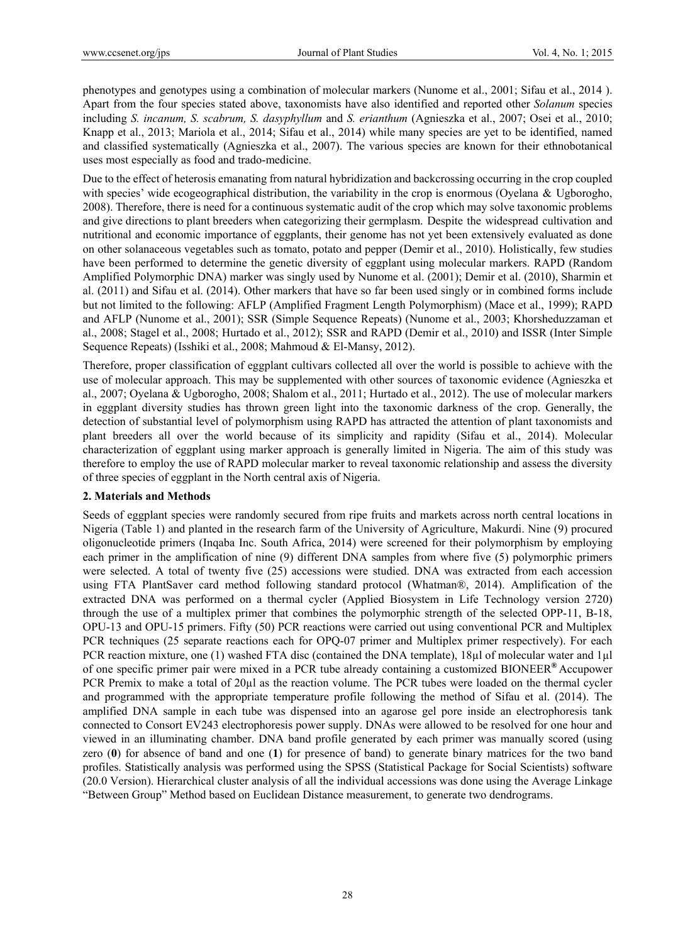phenotypes and genotypes using a combination of molecular markers (Nunome et al., 2001; Sifau et al., 2014 ). Apart from the four species stated above, taxonomists have also identified and reported other *Solanum* species including *S. incanum, S. scabrum, S. dasyphyllum* and *S. erianthum* (Agnieszka et al., 2007; Osei et al., 2010; Knapp et al., 2013; Mariola et al., 2014; Sifau et al., 2014) while many species are yet to be identified, named and classified systematically (Agnieszka et al., 2007). The various species are known for their ethnobotanical uses most especially as food and trado-medicine.

Due to the effect of heterosis emanating from natural hybridization and backcrossing occurring in the crop coupled with species' wide ecogeographical distribution, the variability in the crop is enormous (Oyelana & Ugborogho, 2008). Therefore, there is need for a continuous systematic audit of the crop which may solve taxonomic problems and give directions to plant breeders when categorizing their germplasm. Despite the widespread cultivation and nutritional and economic importance of eggplants, their genome has not yet been extensively evaluated as done on other solanaceous vegetables such as tomato, potato and pepper (Demir et al., 2010). Holistically, few studies have been performed to determine the genetic diversity of eggplant using molecular markers. RAPD (Random Amplified Polymorphic DNA) marker was singly used by Nunome et al. (2001); Demir et al. (2010), Sharmin et al. (2011) and Sifau et al. (2014). Other markers that have so far been used singly or in combined forms include but not limited to the following: AFLP (Amplified Fragment Length Polymorphism) (Mace et al., 1999); RAPD and AFLP (Nunome et al., 2001); SSR (Simple Sequence Repeats) (Nunome et al., 2003; Khorsheduzzaman et al., 2008; Stagel et al., 2008; Hurtado et al., 2012); SSR and RAPD (Demir et al., 2010) and ISSR (Inter Simple Sequence Repeats) (Isshiki et al., 2008; Mahmoud & El-Mansy, 2012).

Therefore, proper classification of eggplant cultivars collected all over the world is possible to achieve with the use of molecular approach. This may be supplemented with other sources of taxonomic evidence (Agnieszka et al., 2007; Oyelana & Ugborogho, 2008; Shalom et al., 2011; Hurtado et al., 2012). The use of molecular markers in eggplant diversity studies has thrown green light into the taxonomic darkness of the crop. Generally, the detection of substantial level of polymorphism using RAPD has attracted the attention of plant taxonomists and plant breeders all over the world because of its simplicity and rapidity (Sifau et al., 2014). Molecular characterization of eggplant using marker approach is generally limited in Nigeria. The aim of this study was therefore to employ the use of RAPD molecular marker to reveal taxonomic relationship and assess the diversity of three species of eggplant in the North central axis of Nigeria.

## **2. Materials and Methods**

Seeds of eggplant species were randomly secured from ripe fruits and markets across north central locations in Nigeria (Table 1) and planted in the research farm of the University of Agriculture, Makurdi. Nine (9) procured oligonucleotide primers (Inqaba Inc. South Africa, 2014) were screened for their polymorphism by employing each primer in the amplification of nine (9) different DNA samples from where five (5) polymorphic primers were selected. A total of twenty five (25) accessions were studied. DNA was extracted from each accession using FTA PlantSaver card method following standard protocol (Whatman®, 2014). Amplification of the extracted DNA was performed on a thermal cycler (Applied Biosystem in Life Technology version 2720) through the use of a multiplex primer that combines the polymorphic strength of the selected OPP-11, B-18, OPU-13 and OPU-15 primers. Fifty (50) PCR reactions were carried out using conventional PCR and Multiplex PCR techniques (25 separate reactions each for OPQ-07 primer and Multiplex primer respectively). For each PCR reaction mixture, one (1) washed FTA disc (contained the DNA template), 18µl of molecular water and 1µl of one specific primer pair were mixed in a PCR tube already containing a customized BIONEER**®** Accupower PCR Premix to make a total of 20µl as the reaction volume. The PCR tubes were loaded on the thermal cycler and programmed with the appropriate temperature profile following the method of Sifau et al. (2014). The amplified DNA sample in each tube was dispensed into an agarose gel pore inside an electrophoresis tank connected to Consort EV243 electrophoresis power supply. DNAs were allowed to be resolved for one hour and viewed in an illuminating chamber. DNA band profile generated by each primer was manually scored (using zero (**0**) for absence of band and one (**1**) for presence of band) to generate binary matrices for the two band profiles. Statistically analysis was performed using the SPSS (Statistical Package for Social Scientists) software (20.0 Version). Hierarchical cluster analysis of all the individual accessions was done using the Average Linkage "Between Group" Method based on Euclidean Distance measurement, to generate two dendrograms.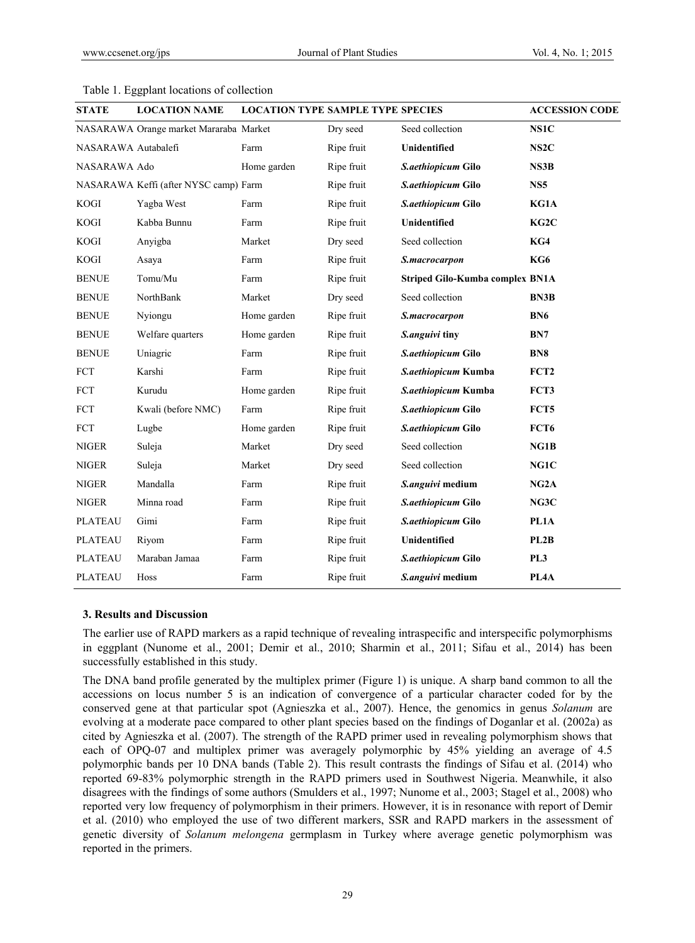| <b>STATE</b>        | <b>LOCATION NAME</b>                   | <b>LOCATION TYPE SAMPLE TYPE SPECIES</b> |            |                                        | <b>ACCESSION CODE</b> |
|---------------------|----------------------------------------|------------------------------------------|------------|----------------------------------------|-----------------------|
|                     | NASARAWA Orange market Mararaba Market |                                          | Dry seed   | Seed collection                        | NS1C                  |
| NASARAWA Autabalefi |                                        | Farm                                     | Ripe fruit | <b>Unidentified</b>                    | NS <sub>2</sub> C     |
| NASARAWA Ado        |                                        | Home garden                              | Ripe fruit | S.aethiopicum Gilo                     | <b>NS3B</b>           |
|                     | NASARAWA Keffi (after NYSC camp) Farm  |                                          | Ripe fruit | S.aethiopicum Gilo                     | NS <sub>5</sub>       |
| <b>KOGI</b>         | Yagba West                             | Farm                                     | Ripe fruit | S.aethiopicum Gilo                     | KG1A                  |
| <b>KOGI</b>         | Kabba Bunnu                            | Farm                                     | Ripe fruit | <b>Unidentified</b>                    | KG2C                  |
| <b>KOGI</b>         | Anyigba                                | Market                                   | Dry seed   | Seed collection                        | KG4                   |
| <b>KOGI</b>         | Asaya                                  | Farm                                     | Ripe fruit | S.macrocarpon                          | KG6                   |
| <b>BENUE</b>        | Tomu/Mu                                | Farm                                     | Ripe fruit | <b>Striped Gilo-Kumba complex BN1A</b> |                       |
| <b>BENUE</b>        | NorthBank                              | Market                                   | Dry seed   | Seed collection                        | <b>BN3B</b>           |
| <b>BENUE</b>        | Nyiongu                                | Home garden                              | Ripe fruit | S.macrocarpon                          | BN <sub>6</sub>       |
| <b>BENUE</b>        | Welfare quarters                       | Home garden                              | Ripe fruit | S.anguivi tiny                         | BN7                   |
| <b>BENUE</b>        | Uniagric                               | Farm                                     | Ripe fruit | S.aethiopicum Gilo                     | BN <sub>8</sub>       |
| FCT                 | Karshi                                 | Farm                                     | Ripe fruit | S.aethiopicum Kumba                    | FCT <sub>2</sub>      |
| <b>FCT</b>          | Kurudu                                 | Home garden                              | Ripe fruit | S.aethiopicum Kumba                    | FCT3                  |
| <b>FCT</b>          | Kwali (before NMC)                     | Farm                                     | Ripe fruit | S.aethiopicum Gilo                     | FCT5                  |
| <b>FCT</b>          | Lugbe                                  | Home garden                              | Ripe fruit | S.aethiopicum Gilo                     | FCT <sub>6</sub>      |
| <b>NIGER</b>        | Suleja                                 | Market                                   | Dry seed   | Seed collection                        | NG1B                  |
| <b>NIGER</b>        | Suleja                                 | Market                                   | Dry seed   | Seed collection                        | NG1C                  |
| <b>NIGER</b>        | Mandalla                               | Farm                                     | Ripe fruit | S.anguivi medium                       | NG2A                  |
| <b>NIGER</b>        | Minna road                             | Farm                                     | Ripe fruit | S.aethiopicum Gilo                     | NG3C                  |
| <b>PLATEAU</b>      | Gimi                                   | Farm                                     | Ripe fruit | S.aethiopicum Gilo                     | PL1A                  |
| <b>PLATEAU</b>      | Riyom                                  | Farm                                     | Ripe fruit | Unidentified                           | PL2B                  |
| <b>PLATEAU</b>      | Maraban Jamaa                          | Farm                                     | Ripe fruit | S.aethiopicum Gilo                     | PL <sub>3</sub>       |
| <b>PLATEAU</b>      | Hoss                                   | Farm                                     | Ripe fruit | S.anguivi medium                       | PL <sub>4</sub> A     |

#### Table 1. Eggplant locations of collection

#### **3. Results and Discussion**

The earlier use of RAPD markers as a rapid technique of revealing intraspecific and interspecific polymorphisms in eggplant (Nunome et al., 2001; Demir et al., 2010; Sharmin et al., 2011; Sifau et al., 2014) has been successfully established in this study.

The DNA band profile generated by the multiplex primer (Figure 1) is unique. A sharp band common to all the accessions on locus number 5 is an indication of convergence of a particular character coded for by the conserved gene at that particular spot (Agnieszka et al., 2007). Hence, the genomics in genus *Solanum* are evolving at a moderate pace compared to other plant species based on the findings of Doganlar et al. (2002a) as cited by Agnieszka et al. (2007). The strength of the RAPD primer used in revealing polymorphism shows that each of OPQ-07 and multiplex primer was averagely polymorphic by 45% yielding an average of 4.5 polymorphic bands per 10 DNA bands (Table 2). This result contrasts the findings of Sifau et al. (2014) who reported 69-83% polymorphic strength in the RAPD primers used in Southwest Nigeria. Meanwhile, it also disagrees with the findings of some authors (Smulders et al., 1997; Nunome et al., 2003; Stagel et al., 2008) who reported very low frequency of polymorphism in their primers. However, it is in resonance with report of Demir et al. (2010) who employed the use of two different markers, SSR and RAPD markers in the assessment of genetic diversity of *Solanum melongena* germplasm in Turkey where average genetic polymorphism was reported in the primers.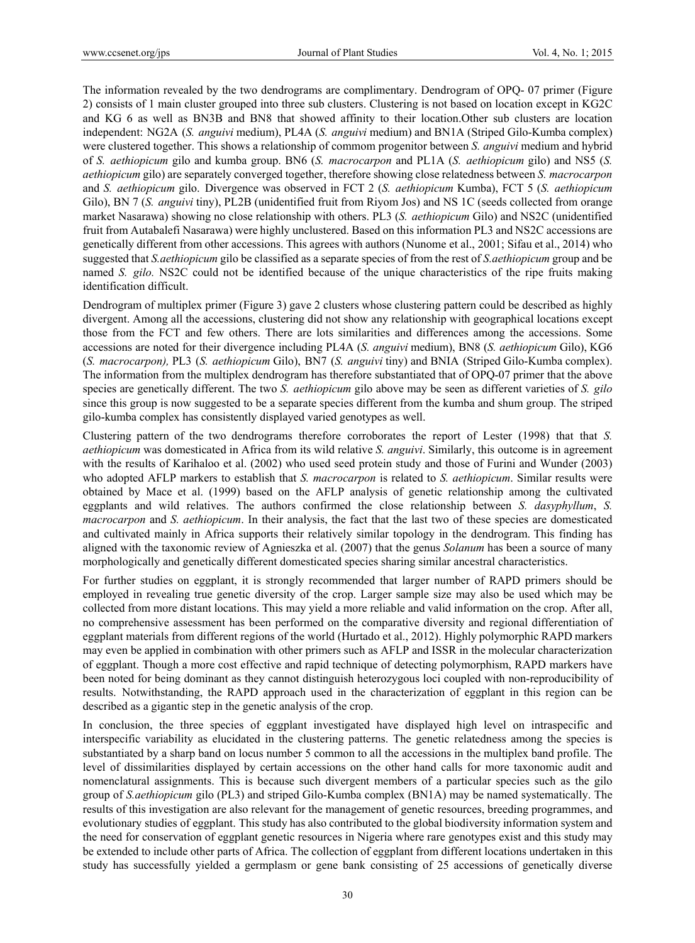The information revealed by the two dendrograms are complimentary. Dendrogram of OPQ- 07 primer (Figure 2) consists of 1 main cluster grouped into three sub clusters. Clustering is not based on location except in KG2C and KG 6 as well as BN3B and BN8 that showed affinity to their location.Other sub clusters are location independent: NG2A (*S. anguivi* medium), PL4A (*S. anguivi* medium) and BN1A (Striped Gilo-Kumba complex) were clustered together. This shows a relationship of commom progenitor between *S. anguivi* medium and hybrid of *S. aethiopicum* gilo and kumba group. BN6 (*S. macrocarpon* and PL1A (*S. aethiopicum* gilo) and NS5 (*S. aethiopicum* gilo) are separately converged together, therefore showing close relatedness between *S. macrocarpon* and *S. aethiopicum* gilo. Divergence was observed in FCT 2 (*S. aethiopicum* Kumba), FCT 5 (*S. aethiopicum* Gilo), BN 7 (*S. anguivi* tiny), PL2B (unidentified fruit from Riyom Jos) and NS 1C (seeds collected from orange market Nasarawa) showing no close relationship with others. PL3 (*S. aethiopicum* Gilo) and NS2C (unidentified fruit from Autabalefi Nasarawa) were highly unclustered. Based on this information PL3 and NS2C accessions are genetically different from other accessions. This agrees with authors (Nunome et al., 2001; Sifau et al., 2014) who suggested that *S.aethiopicum* gilo be classified as a separate species of from the rest of *S.aethiopicum* group and be named *S. gilo.* NS2C could not be identified because of the unique characteristics of the ripe fruits making identification difficult.

Dendrogram of multiplex primer (Figure 3) gave 2 clusters whose clustering pattern could be described as highly divergent. Among all the accessions, clustering did not show any relationship with geographical locations except those from the FCT and few others. There are lots similarities and differences among the accessions. Some accessions are noted for their divergence including PL4A (*S. anguivi* medium), BN8 (*S. aethiopicum* Gilo), KG6 (*S. macrocarpon),* PL3 (*S. aethiopicum* Gilo), BN7 (*S. anguivi* tiny) and BNIA (Striped Gilo-Kumba complex). The information from the multiplex dendrogram has therefore substantiated that of OPQ-07 primer that the above species are genetically different. The two *S. aethiopicum* gilo above may be seen as different varieties of *S. gilo* since this group is now suggested to be a separate species different from the kumba and shum group. The striped gilo-kumba complex has consistently displayed varied genotypes as well.

Clustering pattern of the two dendrograms therefore corroborates the report of Lester (1998) that that *S. aethiopicum* was domesticated in Africa from its wild relative *S. anguivi*. Similarly, this outcome is in agreement with the results of Karihaloo et al. (2002) who used seed protein study and those of Furini and Wunder (2003) who adopted AFLP markers to establish that *S. macrocarpon* is related to *S. aethiopicum*. Similar results were obtained by Mace et al. (1999) based on the AFLP analysis of genetic relationship among the cultivated eggplants and wild relatives. The authors confirmed the close relationship between *S. dasyphyllum*, *S. macrocarpon* and *S. aethiopicum*. In their analysis, the fact that the last two of these species are domesticated and cultivated mainly in Africa supports their relatively similar topology in the dendrogram. This finding has aligned with the taxonomic review of Agnieszka et al. (2007) that the genus *Solanum* has been a source of many morphologically and genetically different domesticated species sharing similar ancestral characteristics.

For further studies on eggplant, it is strongly recommended that larger number of RAPD primers should be employed in revealing true genetic diversity of the crop. Larger sample size may also be used which may be collected from more distant locations. This may yield a more reliable and valid information on the crop. After all, no comprehensive assessment has been performed on the comparative diversity and regional differentiation of eggplant materials from different regions of the world (Hurtado et al., 2012). Highly polymorphic RAPD markers may even be applied in combination with other primers such as AFLP and ISSR in the molecular characterization of eggplant. Though a more cost effective and rapid technique of detecting polymorphism, RAPD markers have been noted for being dominant as they cannot distinguish heterozygous loci coupled with non-reproducibility of results. Notwithstanding, the RAPD approach used in the characterization of eggplant in this region can be described as a gigantic step in the genetic analysis of the crop.

In conclusion, the three species of eggplant investigated have displayed high level on intraspecific and interspecific variability as elucidated in the clustering patterns. The genetic relatedness among the species is substantiated by a sharp band on locus number 5 common to all the accessions in the multiplex band profile. The level of dissimilarities displayed by certain accessions on the other hand calls for more taxonomic audit and nomenclatural assignments. This is because such divergent members of a particular species such as the gilo group of *S.aethiopicum* gilo (PL3) and striped Gilo-Kumba complex (BN1A) may be named systematically. The results of this investigation are also relevant for the management of genetic resources, breeding programmes, and evolutionary studies of eggplant. This study has also contributed to the global biodiversity information system and the need for conservation of eggplant genetic resources in Nigeria where rare genotypes exist and this study may be extended to include other parts of Africa. The collection of eggplant from different locations undertaken in this study has successfully yielded a germplasm or gene bank consisting of 25 accessions of genetically diverse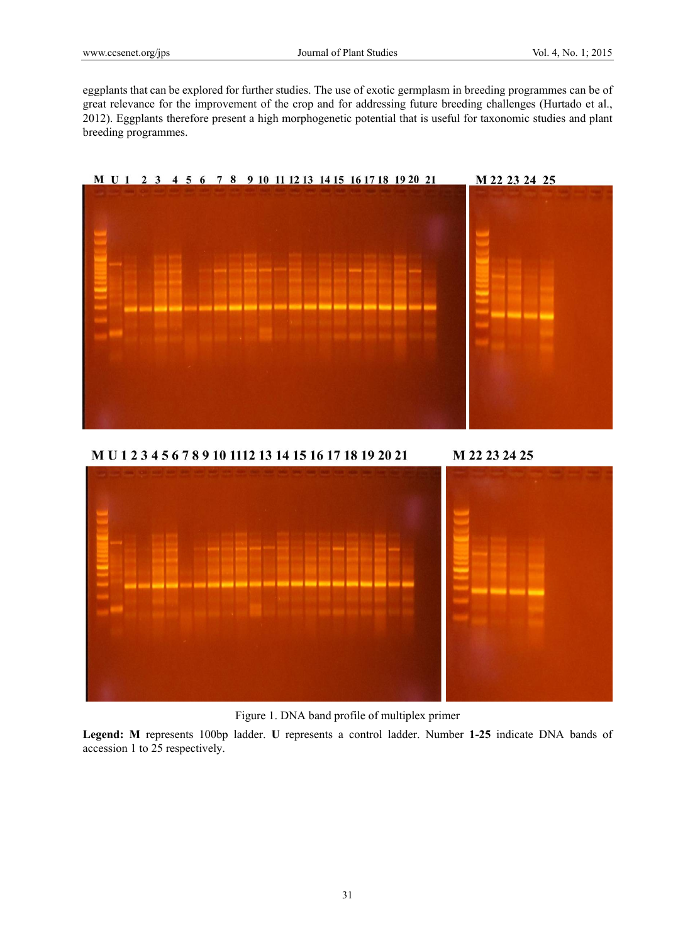eggplants that can be explored for further studies. The use of exotic germplasm in breeding programmes can be of great relevance for the improvement of the crop and for addressing future breeding challenges (Hurtado et al., 2012). Eggplants therefore present a high morphogenetic potential that is useful for taxonomic studies and plant breeding programmes.





Figure 1. DNA band profile of multiplex primer

**Legend: M** represents 100bp ladder. **U** represents a control ladder. Number **1-25** indicate DNA bands of accession 1 to 25 respectively.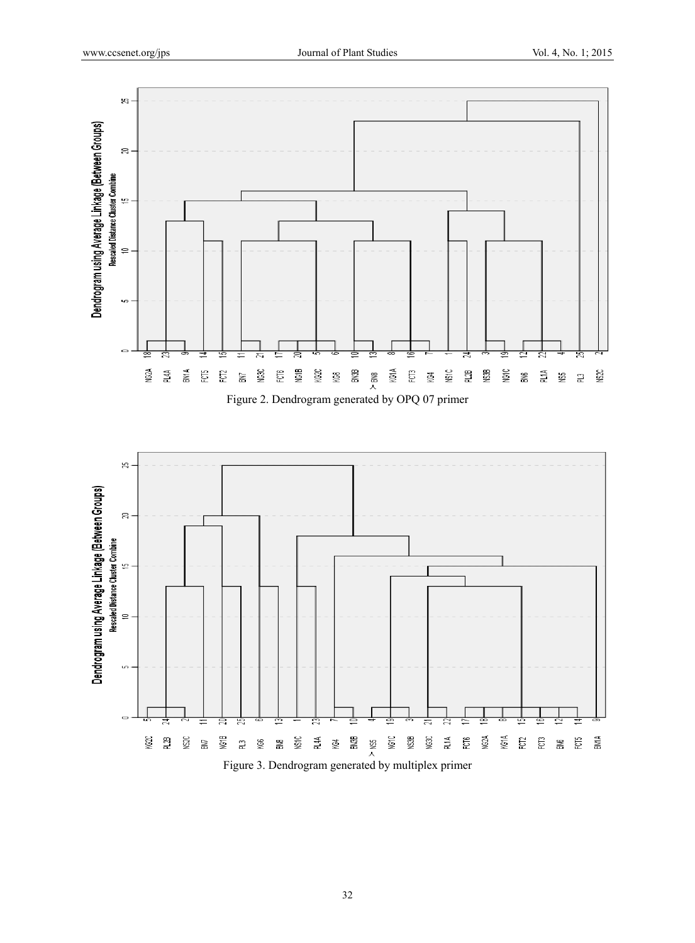

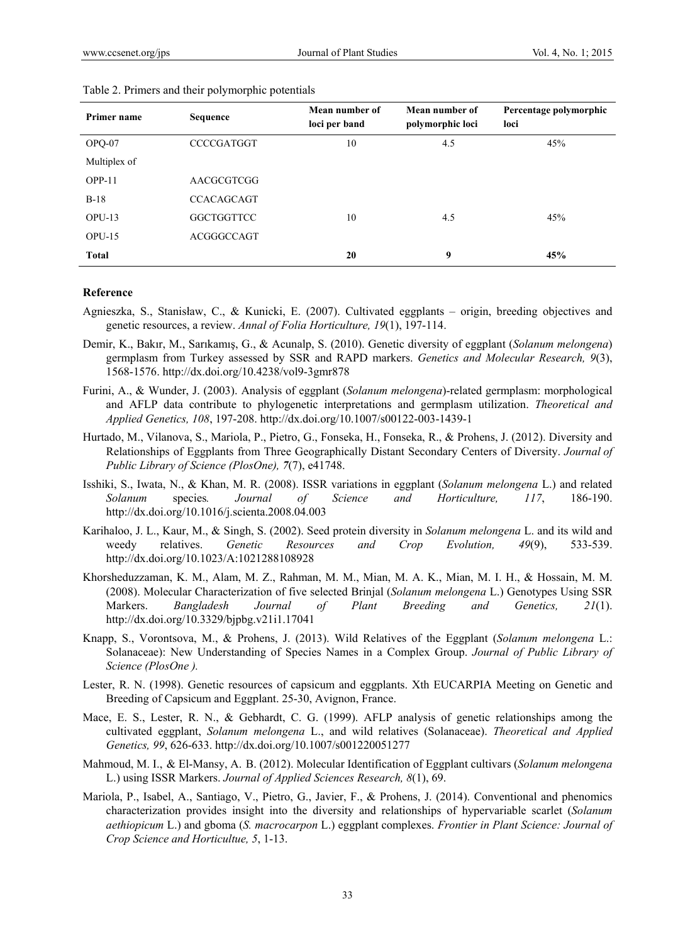| Primer name  | <b>Sequence</b>   | Mean number of<br>loci per band | Mean number of<br>polymorphic loci | Percentage polymorphic<br>loci |
|--------------|-------------------|---------------------------------|------------------------------------|--------------------------------|
| OPQ-07       | <b>CCCCGATGGT</b> | 10                              | 4.5                                | 45%                            |
| Multiplex of |                   |                                 |                                    |                                |
| $OPP-11$     | AACGCGTCGG        |                                 |                                    |                                |
| $B-18$       | <b>CCACAGCAGT</b> |                                 |                                    |                                |
| $OPU-13$     | <b>GGCTGGTTCC</b> | 10                              | 4.5                                | 45%                            |
| $OPU-15$     | ACGGGCCAGT        |                                 |                                    |                                |
| <b>Total</b> |                   | 20                              | 9                                  | 45%                            |

#### Table 2. Primers and their polymorphic potentials

## **Reference**

- Agnieszka, S., Stanisław, C., & Kunicki, E. (2007). Cultivated eggplants origin, breeding objectives and genetic resources, a review. *Annal of Folia Horticulture, 19*(1), 197-114.
- Demir, K., Bakır, M., Sarıkamış, G., & Acunalp, S. (2010). Genetic diversity of eggplant (*Solanum melongena*) germplasm from Turkey assessed by SSR and RAPD markers. *Genetics and Molecular Research, 9*(3), 1568-1576. http://dx.doi.org/10.4238/vol9-3gmr878
- Furini, A., & Wunder, J. (2003). Analysis of eggplant (*Solanum melongena*)-related germplasm: morphological and AFLP data contribute to phylogenetic interpretations and germplasm utilization. *Theoretical and Applied Genetics, 108*, 197-208. http://dx.doi.org/10.1007/s00122-003-1439-1
- Hurtado, M., Vilanova, S., Mariola, P., Pietro, G., Fonseka, H., Fonseka, R., & Prohens, J. (2012). Diversity and Relationships of Eggplants from Three Geographically Distant Secondary Centers of Diversity. *Journal of Public Library of Science (PlosOne), 7*(7), e41748.
- Isshiki, S., Iwata, N., & Khan, M. R. (2008). ISSR variations in eggplant (*Solanum melongena* L.) and related *Solanum* species*. Journal of Science and Horticulture, 117*, 186-190. http://dx.doi.org/10.1016/j.scienta.2008.04.003
- Karihaloo, J. L., Kaur, M., & Singh, S. (2002). Seed protein diversity in *Solanum melongena* L. and its wild and weedy relatives. *Genetic Resources and Crop Evolution, 49*(9), 533-539. http://dx.doi.org/10.1023/A:1021288108928
- Khorsheduzzaman, K. M., Alam, M. Z., Rahman, M. M., Mian, M. A. K., Mian, M. I. H., & Hossain, M. M. (2008). Molecular Characterization of five selected Brinjal (*Solanum melongena* L.) Genotypes Using SSR Markers. *Bangladesh Journal of Plant Breeding and Genetics, 21*(1). http://dx.doi.org/10.3329/bjpbg.v21i1.17041
- Knapp, S., Vorontsova, M., & Prohens, J. (2013). Wild Relatives of the Eggplant (*Solanum melongena* L.: Solanaceae): New Understanding of Species Names in a Complex Group. *Journal of Public Library of Science (PlosOne ).*
- Lester, R. N. (1998). Genetic resources of capsicum and eggplants. Xth EUCARPIA Meeting on Genetic and Breeding of Capsicum and Eggplant. 25-30, Avignon, France.
- Mace, E. S., Lester, R. N., & Gebhardt, C. G. (1999). AFLP analysis of genetic relationships among the cultivated eggplant, *Solanum melongena* L., and wild relatives (Solanaceae). *Theoretical and Applied Genetics, 99*, 626-633. http://dx.doi.org/10.1007/s001220051277
- Mahmoud, M. I., & El-Mansy, A. B. (2012). Molecular Identification of Eggplant cultivars (*Solanum melongena* L.) using ISSR Markers. *Journal of Applied Sciences Research, 8*(1), 69.
- Mariola, P., Isabel, A., Santiago, V., Pietro, G., Javier, F., & Prohens, J. (2014). Conventional and phenomics characterization provides insight into the diversity and relationships of hypervariable scarlet (*Solanum aethiopicum* L.) and gboma (*S. macrocarpon* L.) eggplant complexes. *Frontier in Plant Science: Journal of Crop Science and Horticultue, 5*, 1-13.